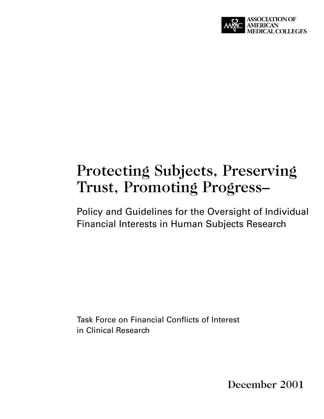# Protecting Subjects, Preserving Trust, Promoting Progress–

Policy and Guidelines for the Oversight of Individual Financial Interests in Human Subjects Research

Task Force on Financial Conflicts of Interest in Clinical Research

December 2001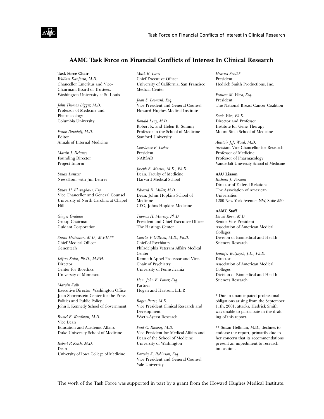

#### **AAMC Task Force on Financial Conflicts of Interest In Clinical Research**

**Task Force Chair**

*William Danforth, M.D.*  Chancellor Emeritus and Vice-Chairman, Board of Trustees, Washington University at St. Louis

*John Thomas Bigger, M.D.* Professor of Medicine and Pharmacology Columbia University

*Frank Davidoff, M.D.*  Editor Annals of Internal Medicine

*Martin J. Delaney* Founding Director Project Inform

*Susan Dentzer*  NewsHour with Jim Lehrer

*Susan H. Ehringhaus, Esq.* Vice Chancellor and General Counsel University of North Carolina at Chapel Hill

*Ginger Graham* Group Chairman Guidant Corporation

*Susan Hellmann, M.D., M.P.H.\*\** Chief Medical Officer Genentech

*Jeffrey Kahn, Ph.D., M.P.H.* **Director** Center for Bioethics University of Minnesota

*Marvin Kalb* Executive Director, Washington Office Joan Shorenstein Center for the Press, Politics and Public Policy John F. Kennedy School of Government

*Russel E. Kaufman, M.D.* Vice Dean Education and Academic Affairs Duke University School of Medicine

*Robert P. Kelch, M.D.* Dean University of Iowa College of Medicine *Mark R. Laret* Chief Executive Officer University of California, San Francisco Medical Center

*Joan S. Leonard, Esq.* Vice President and General Counsel Howard Hughes Medical Institute

*Ronald Levy, M.D.* Robert K. and Helen K. Summy Professor in the School of Medicine Stanford University

*Constance E. Lieber* President NARSAD

*Joseph B. Martin, M.D., Ph.D.* Dean, Faculty of Medicine Harvard Medical School

*Edward D. Miller, M.D.* Dean, Johns Hopkins School of Medicine CEO, Johns Hopkins Medicine

*Thomas H. Murray, Ph.D.* President and Chief Executive Officer The Hastings Center

*Charles P. O'Brien, M.D., Ph.D.* Chief of Psychiatry Philadelphia Veterans Affairs Medical Center Kenneth Appel Professor and Vice-Chair of Psychiatry University of Pennsylvania

*Hon. John E. Porter, Esq.*  Partner Hogan and Hartson, L.L.P.

*Roger Porter, M.D.*  Vice President Clinical Research and Development Wyeth-Ayerst Research

*Paul G. Ramsey, M.D.* Vice President for Medical Affairs and Dean of the School of Medicine University of Washington

*Dorothy K. Robinson, Esq.* Vice President and General Counsel Yale University

*Hedrick Smith\** President Hedrick Smith Productions, Inc.

*Frances M. Visco, Esq.* President The National Breast Cancer Coalition

*Savio Woo, Ph.D.* Director and Professor Institute for Gene Therapy Mount Sinai School of Medicine

*Alastair J.J. Wood, M.D.*  Assistant Vice Chancellor for Research Professor of Medicine Professor of Pharmacology Vanderbilt University School of Medicine

**AAU Liason** *Richard J. Turman* Director of Federal Relations The Association of American Universities 1200 New York Avenue, NW, Suite 550

**AAMC Staff** *David Korn, M.D.* Senior Vice President Association of American Medical Colleges Division of Biomedical and Health Sciences Research

*Jennifer Kulynych, J.D., Ph.D.* Director Association of American Medical Colleges Division of Biomedical and Health Sciences Research

\* Due to unanticipated professional obligations arising from the September 11th, 2001, attacks, Hedrick Smith was unable to participate in the drafting of this report.

\*\* Susan Hellman, M.D., declines to endorse the report, primarily due to her concern that its recommendations present an impediment to research innovation.



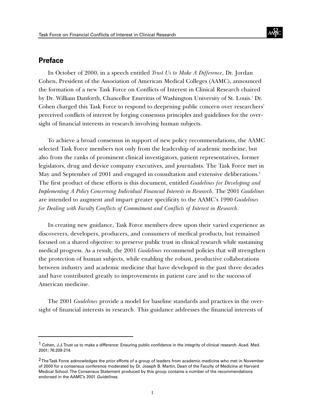

### **Preface**

In October of 2000, in a speech entitled *Trust Us to Make A Difference*, Dr. Jordan Cohen, President of the Association of American Medical Colleges (AAMC), announced the formation of a new Task Force on Conflicts of Interest in Clinical Research chaired by Dr. William Danforth, Chancellor Emeritus of Washington University of St. Louis.1 Dr. Cohen charged this Task Force to respond to deepening public concern over researchers' perceived conflicts of interest by forging consensus principles and guidelines for the oversight of financial interests in research involving human subjects.

To achieve a broad consensus in support of new policy recommendations, the AAMC selected Task Force members not only from the leadership of academic medicine, but also from the ranks of prominent clinical investigators, patient representatives, former legislators, drug and device company executives, and journalists. The Task Force met in May and September of 2001 and engaged in consultation and extensive deliberations.<sup>2</sup> The first product of these efforts is this document, entitled *Guidelines for Developing and Implementing A Policy Concerning Individual Financial Interests in Research*. The 2001 *Guidelines* are intended to augment and impart greater specificity to the AAMC's 1990 *Guidelines for Dealing with Faculty Conflicts of Commitment and Conflicts of Interest in Research*.

In creating new guidance, Task Force members drew upon their varied experience as discoverers, developers, producers, and consumers of medical products, but remained focused on a shared objective: to preserve public trust in clinical research while sustaining medical progress. As a result, the 2001 *Guidelines* recommend policies that will strengthen the protection of human subjects, while enabling the robust, productive collaborations between industry and academic medicine that have developed in the past three decades and have contributed greatly to improvements in patient care and to the success of American medicine.

The 2001 *Guidelines* provide a model for baseline standards and practices in the oversight of financial interests in research. This guidance addresses the financial interests of

 $1$  Cohen, J.J. Trust us to make a difference: Ensuring public confidence in the integrity of clinical research. Acad. Med. 2001; 76:209-214.

<sup>&</sup>lt;sup>2</sup>The Task Force acknowledges the prior efforts of a group of leaders from academic medicine who met in November of 2000 for a consensus conference moderated by Dr. Joseph B. Martin, Dean of the Faculty of Medicine at Harvard Medical School. The Consensus Statement produced by this group contains a number of the recommendations endorsed in the AAMC's 2001 *Guidelines*.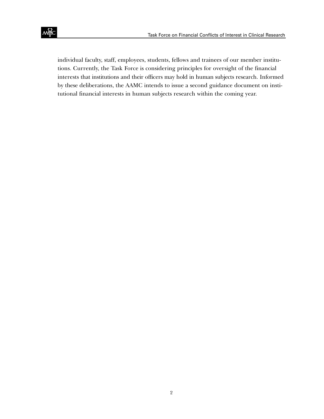

individual faculty, staff, employees, students, fellows and trainees of our member institutions. Currently, the Task Force is considering principles for oversight of the financial interests that institutions and their officers may hold in human subjects research. Informed by these deliberations, the AAMC intends to issue a second guidance document on institutional financial interests in human subjects research within the coming year.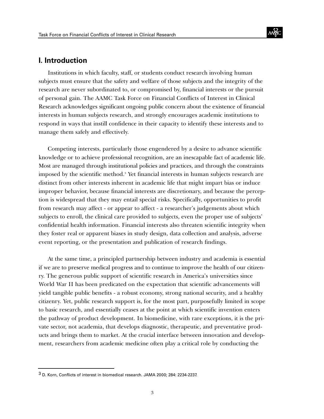

## **I. Introduction**

Institutions in which faculty, staff, or students conduct research involving human subjects must ensure that the safety and welfare of those subjects and the integrity of the research are never subordinated to, or compromised by, financial interests or the pursuit of personal gain. The AAMC Task Force on Financial Conflicts of Interest in Clinical Research acknowledges significant ongoing public concern about the existence of financial interests in human subjects research, and strongly encourages academic institutions to respond in ways that instill confidence in their capacity to identify these interests and to manage them safely and effectively.

Competing interests, particularly those engendered by a desire to advance scientific knowledge or to achieve professional recognition, are an inescapable fact of academic life. Most are managed through institutional policies and practices, and through the constraints imposed by the scientific method.3 Yet financial interests in human subjects research are distinct from other interests inherent in academic life that might impart bias or induce improper behavior, because financial interests are discretionary, and because the perception is widespread that they may entail special risks. Specifically, opportunities to profit from research may affect - or appear to affect - a researcher's judgements about which subjects to enroll, the clinical care provided to subjects, even the proper use of subjects' confidential health information. Financial interests also threaten scientific integrity when they foster real or apparent biases in study design, data collection and analysis, adverse event reporting, or the presentation and publication of research findings.

At the same time, a principled partnership between industry and academia is essential if we are to preserve medical progress and to continue to improve the health of our citizenry. The generous public support of scientific research in America's universities since World War II has been predicated on the expectation that scientific advancements will yield tangible public benefits - a robust economy, strong national security, and a healthy citizenry. Yet, public research support is, for the most part, purposefully limited in scope to basic research, and essentially ceases at the point at which scientific invention enters the pathway of product development. In biomedicine, with rare exceptions, it is the private sector, not academia, that develops diagnostic, therapeutic, and preventative products and brings them to market. At the crucial interface between innovation and development, researchers from academic medicine often play a critical role by conducting the

<sup>3</sup> D. Korn, Conflicts of interest in biomedical research. JAMA 2000; 284: 2234-2237.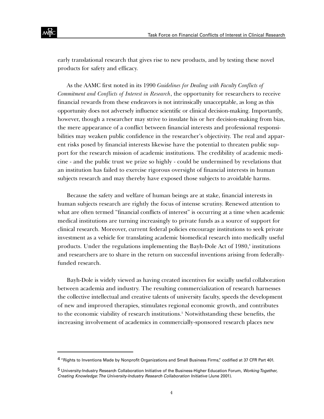



early translational research that gives rise to new products, and by testing these novel products for safety and efficacy.

As the AAMC first noted in its 1990 *Guidelines for Dealing with Faculty Conflicts of Commitment and Conflicts of Interest in Research*, the opportunity for researchers to receive financial rewards from these endeavors is not intrinsically unacceptable, as long as this opportunity does not adversely influence scientific or clinical decision-making. Importantly, however, though a researcher may strive to insulate his or her decision-making from bias, the mere appearance of a conflict between financial interests and professional responsibilities may weaken public confidence in the researcher's objectivity. The real and apparent risks posed by financial interests likewise have the potential to threaten public support for the research mission of academic institutions. The credibility of academic medicine - and the public trust we prize so highly - could be undermined by revelations that an institution has failed to exercise rigorous oversight of financial interests in human subjects research and may thereby have exposed those subjects to avoidable harms.

Because the safety and welfare of human beings are at stake, financial interests in human subjects research are rightly the focus of intense scrutiny. Renewed attention to what are often termed "financial conflicts of interest" is occurring at a time when academic medical institutions are turning increasingly to private funds as a source of support for clinical research. Moreover, current federal policies encourage institutions to seek private investment as a vehicle for translating academic biomedical research into medically useful products. Under the regulations implementing the Bayh-Dole Act of 1980,<sup>4</sup> institutions and researchers are to share in the return on successful inventions arising from federallyfunded research.

Bayh-Dole is widely viewed as having created incentives for socially useful collaboration between academia and industry. The resulting commercialization of research harnesses the collective intellectual and creative talents of university faculty, speeds the development of new and improved therapies, stimulates regional economic growth, and contributes to the economic viability of research institutions.5 Notwithstanding these benefits, the increasing involvement of academics in commercially-sponsored research places new

<sup>4</sup> "Rights to Inventions Made by Nonprofit Organizations and Small Business Firms," codified at 37 CFR Part 401.

<sup>5</sup> University-Industry Research Collaboration Initiative of the Business-Higher Education Forum, *Working Together, Creating Knowledge: The University-Industry Research Collaboration Initiative* (June 2001).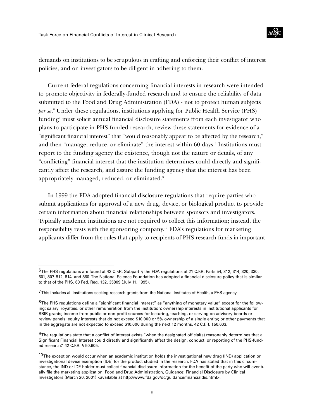

demands on institutions to be scrupulous in crafting and enforcing their conflict of interest policies, and on investigators to be diligent in adhering to them.

Current federal regulations concerning financial interests in research were intended to promote objectivity in federally-funded research and to ensure the reliability of data submitted to the Food and Drug Administration (FDA) - not to protect human subjects *per se*. <sup>6</sup> Under these regulations, institutions applying for Public Health Service (PHS) funding<sup>7</sup> must solicit annual financial disclosure statements from each investigator who plans to participate in PHS-funded research, review these statements for evidence of a "significant financial interest" that "would reasonably appear to be affected by the research," and then "manage, reduce, or eliminate" the interest within 60 days.<sup>8</sup> Institutions must report to the funding agency the existence, though not the nature or details, of any "conflicting" financial interest that the institution determines could directly and significantly affect the research, and assure the funding agency that the interest has been appropriately managed, reduced, or eliminated.9

In 1999 the FDA adopted financial disclosure regulations that require parties who submit applications for approval of a new drug, device, or biological product to provide certain information about financial relationships between sponsors and investigators. Typically academic institutions are not required to collect this information; instead, the responsibility rests with the sponsoring company.10 FDA's regulations for marketing applicants differ from the rules that apply to recipients of PHS research funds in important

 $6$ The PHS regulations are found at 42 C.F.R. Subpart F, the FDA regulations at 21 C.F.R. Parts 54, 312, 314, 320, 330, 601, 807, 812, 814, and 860. The National Science Foundation has adopted a financial disclosure policy that is similar to that of the PHS. 60 Fed. Reg. 132, 35809 (July 11, 1995).

 $7$ This includes all institutions seeking research grants from the National Institutes of Health, a PHS agency.

<sup>8</sup>The PHS regulations define a "significant financial interest" as "anything of monetary value" except for the following: salary, royalties, or other remuneration from the institution; ownership interests in institutional applicants for SBIR grants; income from public or non-profit sources for lecturing, teaching, or serving on advisory boards or review panels; equity interests that do not exceed \$10,000 or 5% ownership of a single entity; or other payments that in the aggregate are not expected to exceed \$10,000 during the next 12 months. 42 C.F.R. §50.603.

 $9$ The regulations state that a conflict of interest exists "when the designated official(s) reasonably determines that a Significant Financial Interest could directly and significantly affect the design, conduct, or reporting of the PHS-funded research." 42 C.F.R. § 50.605.

<sup>&</sup>lt;sup>10</sup>The exception would occur when an academic institution holds the investigational new drug (IND) application or investigational device exemption (IDE) for the product studied in the research. FDA has stated that in this circumstance, the IND or IDE holder must collect financial disclosure information for the benefit of the party who will eventually file the marketing application. Food and Drug Administration, Guidance: Financial Disclosure by Clinical Investigators (March 20, 2001) <available at http://www.fda.gov/oc/guidance/financialdis.html>.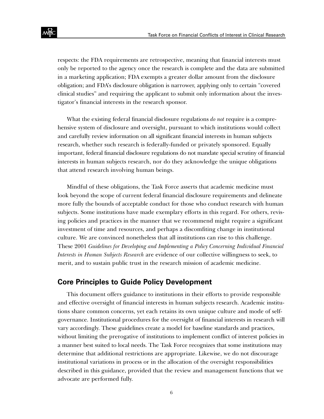

respects: the FDA requirements are retrospective, meaning that financial interests must only be reported to the agency once the research is complete and the data are submitted in a marketing application; FDA exempts a greater dollar amount from the disclosure obligation; and FDA's disclosure obligation is narrower, applying only to certain "covered clinical studies" and requiring the applicant to submit only information about the investigator's financial interests in the research sponsor.

What the existing federal financial disclosure regulations *do not* require is a comprehensive system of disclosure and oversight, pursuant to which institutions would collect and carefully review information on all significant financial interests in human subjects research, whether such research is federally-funded or privately sponsored. Equally important, federal financial disclosure regulations do not mandate special scrutiny of financial interests in human subjects research, nor do they acknowledge the unique obligations that attend research involving human beings.

Mindful of these obligations, the Task Force asserts that academic medicine must look beyond the scope of current federal financial disclosure requirements and delineate more fully the bounds of acceptable conduct for those who conduct research with human subjects. Some institutions have made exemplary efforts in this regard. For others, revising policies and practices in the manner that we recommend might require a significant investment of time and resources, and perhaps a discomfiting change in institutional culture. We are convinced nonetheless that all institutions can rise to this challenge. These 2001 *Guidelines for Developing and Implementing a Policy Concerning Individual Financial Interests in Human Subjects Research* are evidence of our collective willingness to seek, to merit, and to sustain public trust in the research mission of academic medicine.

# **Core Principles to Guide Policy Development**

This document offers guidance to institutions in their efforts to provide responsible and effective oversight of financial interests in human subjects research. Academic institutions share common concerns, yet each retains its own unique culture and mode of selfgovernance. Institutional procedures for the oversight of financial interests in research will vary accordingly. These guidelines create a model for baseline standards and practices, without limiting the prerogative of institutions to implement conflict of interest policies in a manner best suited to local needs. The Task Force recognizes that some institutions may determine that additional restrictions are appropriate. Likewise, we do not discourage institutional variations in process or in the allocation of the oversight responsibilities described in this guidance, provided that the review and management functions that we advocate are performed fully.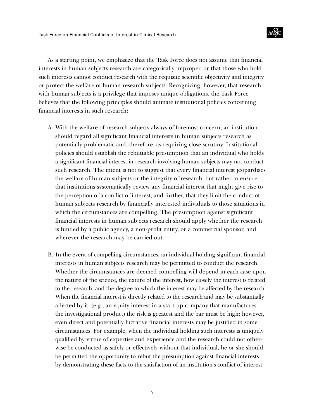As a starting point, we emphasize that the Task Force does not assume that financial interests in human subjects research are categorically improper, or that those who hold such interests cannot conduct research with the requisite scientific objectivity and integrity or protect the welfare of human research subjects. Recognizing, however, that research with human subjects is a privilege that imposes unique obligations, the Task Force believes that the following principles should animate institutional policies concerning financial interests in such research:

- A. With the welfare of research subjects always of foremost concern, an institution should regard all significant financial interests in human subjects research as potentially problematic and, therefore, as requiring close scrutiny. Institutional policies should establish the rebuttable presumption that an individual who holds a significant financial interest in research involving human subjects may not conduct such research. The intent is not to suggest that every financial interest jeopardizes the welfare of human subjects or the integrity of research, but rather to ensure that institutions systematically review any financial interest that might give rise to the perception of a conflict of interest, and further, that they limit the conduct of human subjects research by financially interested individuals to those situations in which the circumstances are compelling. The presumption against significant financial interests in human subjects research should apply whether the research is funded by a public agency, a non-profit entity, or a commercial sponsor, and wherever the research may be carried out.
- B. In the event of compelling circumstances, an individual holding significant financial interests in human subjects research may be permitted to conduct the research. Whether the circumstances are deemed compelling will depend in each case upon the nature of the science, the nature of the interest, how closely the interest is related to the research, and the degree to which the interest may be affected by the research. When the financial interest is directly related to the research and may be substantially affected by it, (e.g., an equity interest in a start-up company that manufactures the investigational product) the risk is greatest and the bar must be high; however, even direct and potentially lucrative financial interests may be justified in some circumstances. For example, when the individual holding such interests is uniquely qualified by virtue of expertise and experience and the research could not otherwise be conducted as safely or effectively without that individual, he or she should be permitted the opportunity to rebut the presumption against financial interests by demonstrating these facts to the satisfaction of an institution's conflict of interest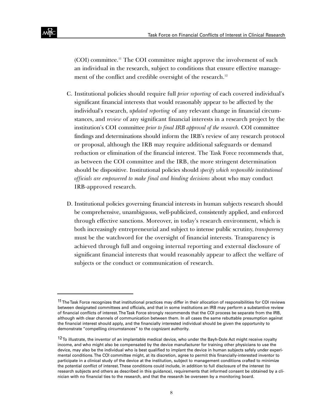

(COI) committee.11 The COI committee might approve the involvement of such an individual in the research, subject to conditions that ensure effective management of the conflict and credible oversight of the research.<sup>12</sup>

- C. Institutional policies should require full *prior reporting* of each covered individual's significant financial interests that would reasonably appear to be affected by the individual's research, *updated reporting* of any relevant change in financial circumstances, and *review* of any significant financial interests in a research project by the institution's COI committee *prior to final IRB approval of the research*. COI committee findings and determinations should inform the IRB's review of any research protocol or proposal, although the IRB may require additional safeguards or demand reduction or elimination of the financial interest. The Task Force recommends that, as between the COI committee and the IRB, the more stringent determination should be dispositive. Institutional policies should *specify which responsible institutional officials are empowered to make final and binding decisions* about who may conduct IRB-approved research.
- D. Institutional policies governing financial interests in human subjects research should be comprehensive, unambiguous, well-publicized, consistently applied, and enforced through effective sanctions. Moreover, in today's research environment, which is both increasingly entrepreneurial and subject to intense public scrutiny, *transparency* must be the watchword for the oversight of financial interests. Transparency is achieved through full and ongoing internal reporting and external disclosure of significant financial interests that would reasonably appear to affect the welfare of subjects or the conduct or communication of research.

<sup>&</sup>lt;sup>11</sup> The Task Force recognizes that institutional practices may differ in their allocation of responsibilities for COI reviews between designated committees and officials, and that in some institutions an IRB may perform a substantive review of financial conflicts of interest. The Task Force strongly recommends that the COI process be separate from the IRB, although with clear channels of communication between them. In all cases the same rebuttable presumption against the financial interest should apply, and the financially interested individual should be given the opportunity to demonstrate "compelling circumstances" to the cognizant authority.

<sup>&</sup>lt;sup>12</sup>To illustrate, the inventor of an implantable medical device, who under the Bayh-Dole Act might receive royalty income, and who might also be compensated by the device manufacturer for training other physicians to use the device, may also be the individual who is best qualified to implant the device in human subjects safely under experimental conditions. The COI committee might, at its discretion, agree to permit this financially-interested inventor to participate in a clinical study of the device at the institution, subject to management conditions crafted to minimize the potential conflict of interest. These conditions could include, in addition to full disclosure of the interest (to research subjects and others as described in this guidance), requirements that informed consent be obtained by a clinician with no financial ties to the research, and that the research be overseen by a monitoring board.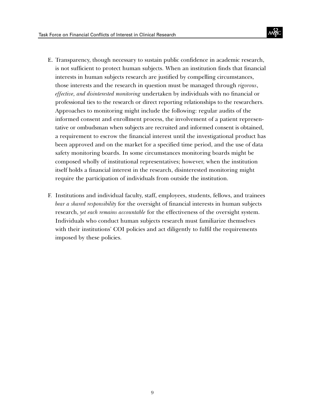- E. Transparency, though necessary to sustain public confidence in academic research, is not sufficient to protect human subjects. When an institution finds that financial interests in human subjects research are justified by compelling circumstances, those interests and the research in question must be managed through *rigorous*, *effective, and disinterested monitoring* undertaken by individuals with no financial or professional ties to the research or direct reporting relationships to the researchers. Approaches to monitoring might include the following: regular audits of the informed consent and enrollment process, the involvement of a patient representative or ombudsman when subjects are recruited and informed consent is obtained, a requirement to escrow the financial interest until the investigational product has been approved and on the market for a specified time period, and the use of data safety monitoring boards. In some circumstances monitoring boards might be composed wholly of institutional representatives; however, when the institution itself holds a financial interest in the research, disinterested monitoring might require the participation of individuals from outside the institution.
- F. Institutions and individual faculty, staff, employees, students, fellows, and trainees *bear a shared responsibility* for the oversight of financial interests in human subjects research, *yet each remains accountable* for the effectiveness of the oversight system. Individuals who conduct human subjects research must familiarize themselves with their institutions' COI policies and act diligently to fulfil the requirements imposed by these policies.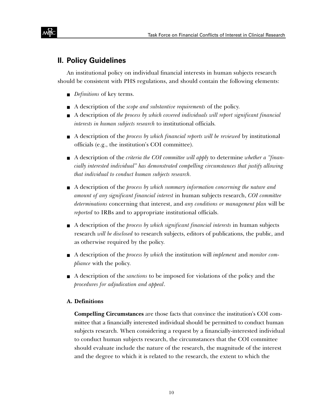# **II. Policy Guidelines**

An institutional policy on individual financial interests in human subjects research should be consistent with PHS regulations, and should contain the following elements:

- *Definitions* of key terms.
- A description of the *scope and substantive requirements* of the policy.
- A description of *the process by which covered individuals will report significant financial interests in human subjects research* to institutional officials*.*
- A description of the *process by which financial reports will be reviewed* by institutional officials (e.g., the institution's COI committee).
- A description of the *criteria the COI committee will apply* to determine *whether a "financially interested individual" has demonstrated compelling circumstances that justify allowing that individual to conduct human subjects research.*
- A description of the *process by which summary information concerning the nature and amount of any significant financial interest* in human subjects research, *COI committee determinations* concerning that interest, and *any conditions or management plan* will be *reported* to IRBs and to appropriate institutional officials.
- A description of the *process by which significant financial interests* in human subjects research *will be disclosed* to research subjects, editors of publications, the public, and as otherwise required by the policy.
- A description of the *process by which* the institution will *implement* and *monitor compliance* with the policy.
- A description of the *sanctions* to be imposed for violations of the policy and the *procedures for adjudication and appeal*.

### **A. Definitions**

**Compelling Circumstances** are those facts that convince the institution's COI committee that a financially interested individual should be permitted to conduct human subjects research. When considering a request by a financially-interested individual to conduct human subjects research, the circumstances that the COI committee should evaluate include the nature of the research, the magnitude of the interest and the degree to which it is related to the research, the extent to which the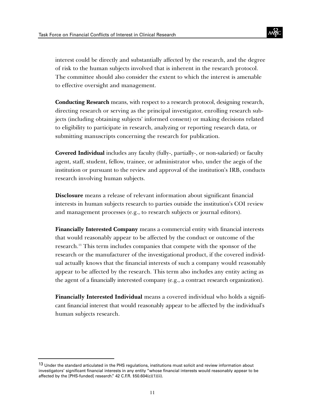interest could be directly and substantially affected by the research, and the degree of risk to the human subjects involved that is inherent in the research protocol. The committee should also consider the extent to which the interest is amenable to effective oversight and management.

**Conducting Research** means, with respect to a research protocol, designing research, directing research or serving as the principal investigator, enrolling research subjects (including obtaining subjects' informed consent) or making decisions related to eligibility to participate in research, analyzing or reporting research data, or submitting manuscripts concerning the research for publication.

**Covered Individual** includes any faculty (fully-, partially-, or non-salaried) or faculty agent, staff, student, fellow, trainee, or administrator who, under the aegis of the institution or pursuant to the review and approval of the institution's IRB, conducts research involving human subjects.

**Disclosure** means a release of relevant information about significant financial interests in human subjects research to parties outside the institution's COI review and management processes (e.g., to research subjects or journal editors).

**Financially Interested Company** means a commercial entity with financial interests that would reasonably appear to be affected by the conduct or outcome of the research.13 This term includes companies that compete with the sponsor of the research or the manufacturer of the investigational product, if the covered individual actually knows that the financial interests of such a company would reasonably appear to be affected by the research. This term also includes any entity acting as the agent of a financially interested company (e.g., a contract research organization).

**Financially Interested Individual** means a covered individual who holds a significant financial interest that would reasonably appear to be affected by the individual's human subjects research.

<sup>13</sup> Under the standard articulated in the PHS regulations, institutions must solicit and review information about investigators' significant financial interests in any entity "whose financial interests would reasonably appear to be affected by the [PHS-funded] research." 42 C.F.R. §50.604(c)(1)(ii).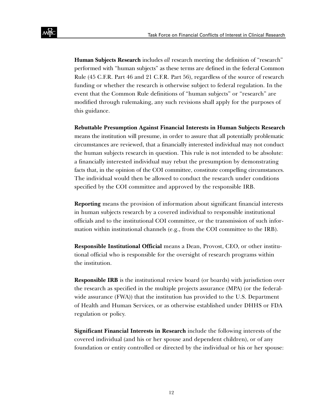

**Human Subjects Research** includes *all* research meeting the definition of "research" performed with "human subjects" as these terms are defined in the federal Common Rule (45 C.F.R. Part 46 and 21 C.F.R. Part 56), regardless of the source of research funding or whether the research is otherwise subject to federal regulation. In the event that the Common Rule definitions of "human subjects" or "research" are modified through rulemaking, any such revisions shall apply for the purposes of this guidance.

**Rebuttable Presumption Against Financial Interests in Human Subjects Research** means the institution will presume, in order to assure that all potentially problematic circumstances are reviewed, that a financially interested individual may not conduct the human subjects research in question. This rule is not intended to be absolute: a financially interested individual may rebut the presumption by demonstrating facts that, in the opinion of the COI committee, constitute compelling circumstances. The individual would then be allowed to conduct the research under conditions specified by the COI committee and approved by the responsible IRB.

**Reporting** means the provision of information about significant financial interests in human subjects research by a covered individual to responsible institutional officials and to the institutional COI committee, or the transmission of such information within institutional channels (e.g., from the COI committee to the IRB).

**Responsible Institutional Official** means a Dean, Provost, CEO, or other institutional official who is responsible for the oversight of research programs within the institution.

**Responsible IRB** is the institutional review board (or boards) with jurisdiction over the research as specified in the multiple projects assurance (MPA) (or the federalwide assurance (FWA)) that the institution has provided to the U.S. Department of Health and Human Services, or as otherwise established under DHHS or FDA regulation or policy.

**Significant Financial Interests in Research** include the following interests of the covered individual (and his or her spouse and dependent children), or of any foundation or entity controlled or directed by the individual or his or her spouse: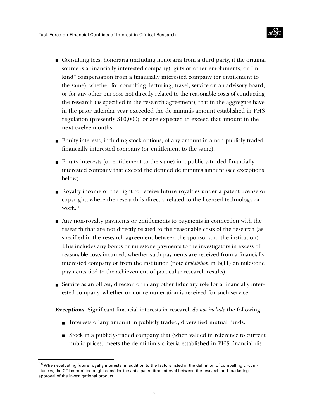- Consulting fees, honoraria (including honoraria from a third party, if the original source is a financially interested company), gifts or other emoluments, or "in kind" compensation from a financially interested company (or entitlement to the same), whether for consulting, lecturing, travel, service on an advisory board, or for any other purpose not directly related to the reasonable costs of conducting the research (as specified in the research agreement), that in the aggregate have in the prior calendar year exceeded the de minimis amount established in PHS regulation (presently \$10,000), or are expected to exceed that amount in the next twelve months.
- Equity interests, including stock options, of any amount in a non-publicly-traded financially interested company (or entitlement to the same).
- Equity interests (or entitlement to the same) in a publicly-traded financially interested company that exceed the defined de minimis amount (see exceptions below).
- Royalty income or the right to receive future royalties under a patent license or copyright, where the research is directly related to the licensed technology or work.14
- Any non-royalty payments or entitlements to payments in connection with the research that are not directly related to the reasonable costs of the research (as specified in the research agreement between the sponsor and the institution). This includes any bonus or milestone payments to the investigators in excess of reasonable costs incurred, whether such payments are received from a financially interested company or from the institution (note *prohibition* in B(11) on milestone payments tied to the achievement of particular research results).
- Service as an officer, director, or in any other fiduciary role for a financially interested company, whether or not remuneration is received for such service.

**Exceptions.** Significant financial interests in research *do not include* the following:

- Interests of any amount in publicly traded, diversified mutual funds.
- Stock in a publicly-traded company that (when valued in reference to current public prices) meets the de minimis criteria established in PHS financial dis-

<sup>14</sup> When evaluating future royalty interests, in addition to the factors listed in the definition of compelling circumstances, the COI committee might consider the anticipated time interval between the research and marketing approval of the investigational product.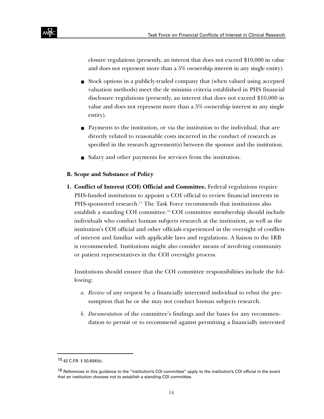

closure regulations (presently, an interest that does not exceed \$10,000 in value and does not represent more than a 5% ownership interest in any single entity).

- Stock options in a publicly-traded company that (when valued using accepted valuation methods) meet the de minimis criteria established in PHS financial disclosure regulations (presently, an interest that does not exceed \$10,000 in value and does not represent more than a 5% ownership interest in any single entity).
- Payments to the institution, or via the institution to the individual, that are directly related to reasonable costs incurred in the conduct of research as specified in the research agreement(s) between the sponsor and the institution.
- Salary and other payments for services from the institution.

#### **B. Scope and Substance of Policy**

**1. Conflict of Interest (COI) Official and Committee.** Federal regulations require PHS-funded institutions to appoint a COI official to review financial interests in PHS-sponsored research.<sup>15</sup> The Task Force recommends that institutions also establish a standing COI committee.16 COI committee membership should include individuals who conduct human subjects research at the institution, as well as the institution's COI official and other officials experienced in the oversight of conflicts of interest and familiar with applicable laws and regulations. A liaison to the IRB is recommended. Institutions might also consider means of involving community or patient representatives in the COI oversight process.

Institutions should ensure that the COI committee responsibilities include the following:

- *a. Review* of any request by a financially interested individual to rebut the presumption that he or she may not conduct human subjects research.
- *b. Documentation* of the committee's findings and the bases for any recommendation to permit or to recommend against permitting a financially interested

 $15$  42 C.F.R. § 50.604(b).

<sup>&</sup>lt;sup>16</sup> References in this guidance to the "institution's COI committee" apply to the institution's COI official in the event that an institution chooses not to establish a standing COI committee.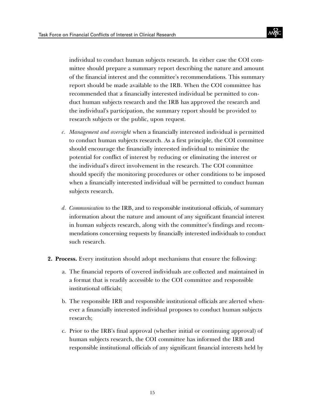individual to conduct human subjects research. In either case the COI committee should prepare a summary report describing the nature and amount of the financial interest and the committee's recommendations. This summary report should be made available to the IRB. When the COI committee has recommended that a financially interested individual be permitted to conduct human subjects research and the IRB has approved the research and the individual's participation, the summary report should be provided to research subjects or the public, upon request.

- *c. Management and oversight* when a financially interested individual is permitted to conduct human subjects research. As a first principle, the COI committee should encourage the financially interested individual to minimize the potential for conflict of interest by reducing or eliminating the interest or the individual's direct involvement in the research. The COI committee should specify the monitoring procedures or other conditions to be imposed when a financially interested individual will be permitted to conduct human subjects research.
- *d. Communication* to the IRB, and to responsible institutional officials, of summary information about the nature and amount of any significant financial interest in human subjects research, along with the committee's findings and recommendations concerning requests by financially interested individuals to conduct such research.
- **2. Process.** Every institution should adopt mechanisms that ensure the following:
	- a. The financial reports of covered individuals are collected and maintained in a format that is readily accessible to the COI committee and responsible institutional officials;
	- b. The responsible IRB and responsible institutional officials are alerted whenever a financially interested individual proposes to conduct human subjects research;
	- c. Prior to the IRB's final approval (whether initial or continuing approval) of human subjects research, the COI committee has informed the IRB and responsible institutional officials of any significant financial interests held by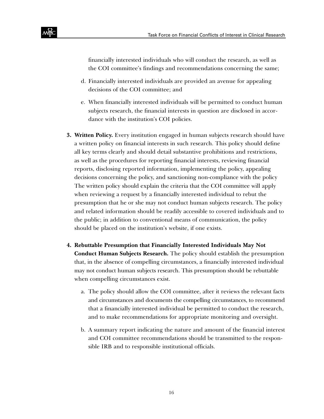

financially interested individuals who will conduct the research, as well as the COI committee's findings and recommendations concerning the same;

- d. Financially interested individuals are provided an avenue for appealing decisions of the COI committee; and
- e. When financially interested individuals will be permitted to conduct human subjects research, the financial interests in question are disclosed in accordance with the institution's COI policies.
- **3. Written Policy.** Every institution engaged in human subjects research should have a written policy on financial interests in such research. This policy should define all key terms clearly and should detail substantive prohibitions and restrictions, as well as the procedures for reporting financial interests, reviewing financial reports, disclosing reported information, implementing the policy, appealing decisions concerning the policy, and sanctioning non-compliance with the policy The written policy should explain the criteria that the COI committee will apply when reviewing a request by a financially interested individual to rebut the presumption that he or she may not conduct human subjects research. The policy and related information should be readily accessible to covered individuals and to the public; in addition to conventional means of communication, the policy should be placed on the institution's website, if one exists.
- **4. Rebuttable Presumption that Financially Interested Individuals May Not Conduct Human Subjects Research.** The policy should establish the presumption that, in the absence of compelling circumstances, a financially interested individual may not conduct human subjects research. This presumption should be rebuttable when compelling circumstances exist.
	- a. The policy should allow the COI committee, after it reviews the relevant facts and circumstances and documents the compelling circumstances, to recommend that a financially interested individual be permitted to conduct the research, and to make recommendations for appropriate monitoring and oversight.
	- b. A summary report indicating the nature and amount of the financial interest and COI committee recommendations should be transmitted to the responsible IRB and to responsible institutional officials.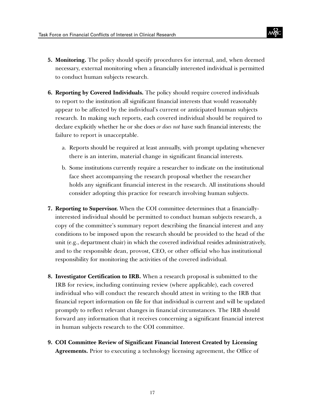- **5. Monitoring.** The policy should specify procedures for internal, and, when deemed necessary, external monitoring when a financially interested individual is permitted to conduct human subjects research.
- **6. Reporting by Covered Individuals.** The policy should require covered individuals to report to the institution all significant financial interests that would reasonably appear to be affected by the individual's current or anticipated human subjects research. In making such reports, each covered individual should be required to declare explicitly whether he or she does *or does not* have such financial interests; the failure to report is unacceptable.
	- a. Reports should be required at least annually, with prompt updating whenever there is an interim, material change in significant financial interests.
	- b. Some institutions currently require a researcher to indicate on the institutional face sheet accompanying the research proposal whether the researcher holds any significant financial interest in the research. All institutions should consider adopting this practice for research involving human subjects.
- **7. Reporting to Supervisor.** When the COI committee determines that a financiallyinterested individual should be permitted to conduct human subjects research, a copy of the committee's summary report describing the financial interest and any conditions to be imposed upon the research should be provided to the head of the unit (e.g., department chair) in which the covered individual resides administratively, and to the responsible dean, provost, CEO, or other official who has institutional responsibility for monitoring the activities of the covered individual.
- **8. Investigator Certification to IRB.** When a research proposal is submitted to the IRB for review, including continuing review (where applicable), each covered individual who will conduct the research should attest in writing to the IRB that financial report information on file for that individual is current and will be updated promptly to reflect relevant changes in financial circumstances. The IRB should forward any information that it receives concerning a significant financial interest in human subjects research to the COI committee.
- **9. COI Committee Review of Significant Financial Interest Created by Licensing Agreements.** Prior to executing a technology licensing agreement, the Office of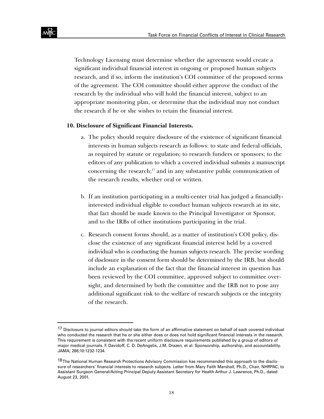

Technology Licensing must determine whether the agreement would create a significant individual financial interest in ongoing or proposed human subjects research, and if so, inform the institution's COI committee of the proposed terms of the agreement. The COI committee should either approve the conduct of the research by the individual who will hold the financial interest, subject to an appropriate monitoring plan, or determine that the individual may not conduct the research if he or she wishes to retain the financial interest.

#### **10. Disclosure of Significant Financial Interests.**

- a. The policy should require disclosure of the existence of significant financial interests in human subjects research as follows: to state and federal officials, as required by statute or regulation; to research funders or sponsors; to the editors of any publication to which a covered individual submits a manuscript concerning the research; $17$  and in any substantive public communication of the research results, whether oral or written.
- b. If an institution participating in a multi-center trial has judged a financiallyinterested individual eligible to conduct human subjects research at its site, that fact should be made known to the Principal Investigator or Sponsor, and to the IRBs of other institutions participating in the trial.
- c. Research consent forms should, as a matter of institution's COI policy, disclose the existence of any significant financial interest held by a covered individual who is conducting the human subjects research. The precise wording of disclosure in the consent form should be determined by the IRB, but should include an explanation of the fact that the financial interest in question has been reviewed by the COI committee, approved subject to committee oversight, and determined by both the committee and the IRB not to pose any additional significant risk to the welfare of research subjects or the integrity of the research.

<sup>&</sup>lt;sup>17</sup> Disclosure to journal editors should take the form of an affirmative statement on behalf of each covered individual who conducted the research that he or she either does or does not hold significant financial interests in the research. This requirement is consistent with the recent uniform disclosure requirements published by a group of editors of major medical journals. F. Davidoff, C. D. DeAngelis, J.M. Drazen, et al. Sponsorship, authorship, and accountability. JAMA; 286;10:1232-1234.

<sup>18</sup> The National Human Research Protections Advisory Commission has recommended this approach to the disclosure of researchers' financial interests to research subjects. Letter from Mary Faith Marshall, Ph.D., Chair, NHRPAC, to Assistant Surgeon General/Acting Principal Deputy Assistant Secretary for Health Arthur J. Lawrence, Ph.D., dated August 23, 2001.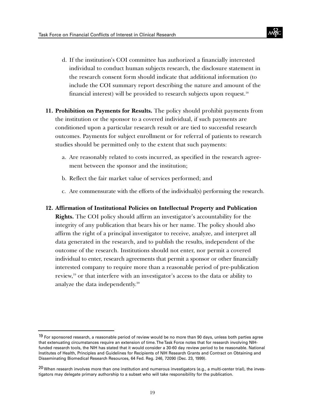- d. If the institution's COI committee has authorized a financially interested individual to conduct human subjects research, the disclosure statement in the research consent form should indicate that additional information (to include the COI summary report describing the nature and amount of the financial interest) will be provided to research subjects upon request.<sup>18</sup>
- **11. Prohibition on Payments for Results.** The policy should prohibit payments from the institution or the sponsor to a covered individual, if such payments are conditioned upon a particular research result or are tied to successful research outcomes. Payments for subject enrollment or for referral of patients to research studies should be permitted only to the extent that such payments:
	- a. Are reasonably related to costs incurred, as specified in the research agreement between the sponsor and the institution;
	- b. Reflect the fair market value of services performed; and
	- c. Are commensurate with the efforts of the individual(s) performing the research.
- **12. Affirmation of Institutional Policies on Intellectual Property and Publication Rights.** The COI policy should affirm an investigator's accountability for the integrity of any publication that bears his or her name. The policy should also affirm the right of a principal investigator to receive, analyze, and interpret all data generated in the research, and to publish the results, independent of the outcome of the research. Institutions should not enter, nor permit a covered individual to enter, research agreements that permit a sponsor or other financially interested company to require more than a reasonable period of pre-publication review,19 or that interfere with an investigator's access to the data or ability to analyze the data independently.20

<sup>19</sup> For sponsored research, a reasonable period of review would be no more than 90 days, unless both parties agree that extenuating circumstances require an extension of time. The Task Force notes that for research involving NIHfunded research tools, the NIH has stated that it would consider a 30-60 day review period to be reasonable. National Institutes of Health, Principles and Guidelines for Recipients of NIH Research Grants and Contract on Obtaining and Disseminating Biomedical Research Resources, 64 Fed. Reg. 246, 72090 (Dec. 23, 1999).

<sup>&</sup>lt;sup>20</sup> When research involves more than one institution and numerous investigators (e.g., a multi-center trial), the investigators may delegate primary authorship to a subset who will take responsibility for the publication.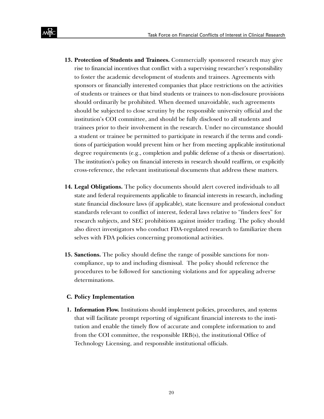

- **13. Protection of Students and Trainees.** Commercially sponsored research may give rise to financial incentives that conflict with a supervising researcher's responsibility to foster the academic development of students and trainees. Agreements with sponsors or financially interested companies that place restrictions on the activities of students or trainees or that bind students or trainees to non-disclosure provisions should ordinarily be prohibited. When deemed unavoidable, such agreements should be subjected to close scrutiny by the responsible university official and the institution's COI committee, and should be fully disclosed to all students and trainees prior to their involvement in the research. Under no circumstance should a student or trainee be permitted to participate in research if the terms and conditions of participation would prevent him or her from meeting applicable institutional degree requirements (e.g., completion and public defense of a thesis or dissertation). The institution's policy on financial interests in research should reaffirm, or explicitly cross-reference, the relevant institutional documents that address these matters.
- **14. Legal Obligations.** The policy documents should alert covered individuals to all state and federal requirements applicable to financial interests in research, including state financial disclosure laws (if applicable), state licensure and professional conduct standards relevant to conflict of interest, federal laws relative to "finders fees" for research subjects, and SEC prohibitions against insider trading. The policy should also direct investigators who conduct FDA-regulated research to familiarize them selves with FDA policies concerning promotional activities.
- **15. Sanctions.** The policy should define the range of possible sanctions for noncompliance, up to and including dismissal. The policy should reference the procedures to be followed for sanctioning violations and for appealing adverse determinations.

#### **C. Policy Implementation**

**1. Information Flow.** Institutions should implement policies, procedures, and systems that will facilitate prompt reporting of significant financial interests to the institution and enable the timely flow of accurate and complete information to and from the COI committee, the responsible IRB(s), the institutional Office of Technology Licensing, and responsible institutional officials.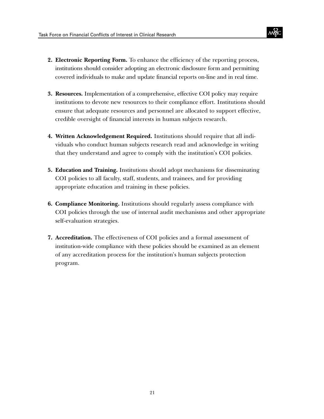

- **2. Electronic Reporting Form.** To enhance the efficiency of the reporting process, institutions should consider adopting an electronic disclosure form and permitting covered individuals to make and update financial reports on-line and in real time.
- **3. Resources.** Implementation of a comprehensive, effective COI policy may require institutions to devote new resources to their compliance effort. Institutions should ensure that adequate resources and personnel are allocated to support effective, credible oversight of financial interests in human subjects research.
- **4. Written Acknowledgement Required.** Institutions should require that all individuals who conduct human subjects research read and acknowledge in writing that they understand and agree to comply with the institution's COI policies.
- **5. Education and Training.** Institutions should adopt mechanisms for disseminating COI policies to all faculty, staff, students, and trainees, and for providing appropriate education and training in these policies.
- **6. Compliance Monitoring.** Institutions should regularly assess compliance with COI policies through the use of internal audit mechanisms and other appropriate self-evaluation strategies.
- **7. Accreditation.** The effectiveness of COI policies and a formal assessment of institution-wide compliance with these policies should be examined as an element of any accreditation process for the institution's human subjects protection program.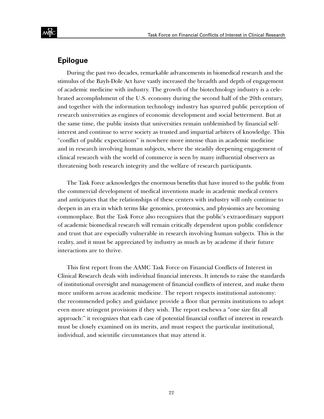## **Epilogue**

During the past two decades, remarkable advancements in biomedical research and the stimulus of the Bayh-Dole Act have vastly increased the breadth and depth of engagement of academic medicine with industry. The growth of the biotechnology industry is a celebrated accomplishment of the U.S. economy during the second half of the 20th century, and together with the information technology industry has spurred public perception of research universities as engines of economic development and social betterment. But at the same time, the public insists that universities remain unblemished by financial selfinterest and continue to serve society as trusted and impartial arbiters of knowledge. This "conflict of public expectations" is nowhere more intense than in academic medicine and in research involving human subjects, where the steadily deepening engagement of clinical research with the world of commerce is seen by many influential observers as threatening both research integrity and the welfare of research participants.

The Task Force acknowledges the enormous benefits that have inured to the public from the commercial development of medical inventions made in academic medical centers and anticipates that the relationships of these centers with industry will only continue to deepen in an era in which terms like genomics, proteomics, and physiomics are becoming commonplace. But the Task Force also recognizes that the public's extraordinary support of academic biomedical research will remain critically dependent upon public confidence and trust that are especially vulnerable in research involving human subjects. This is the reality, and it must be appreciated by industry as much as by academe if their future interactions are to thrive.

This first report from the AAMC Task Force on Financial Conflicts of Interest in Clinical Research deals with individual financial interests. It intends to raise the standards of institutional oversight and management of financial conflicts of interest, and make them more uniform across academic medicine. The report respects institutional autonomy: the recommended policy and guidance provide a floor that permits institutions to adopt even more stringent provisions if they wish. The report eschews a "one size fits all approach:" it recognizes that each case of potential financial conflict of interest in research must be closely examined on its merits, and must respect the particular institutional, individual, and scientific circumstances that may attend it.